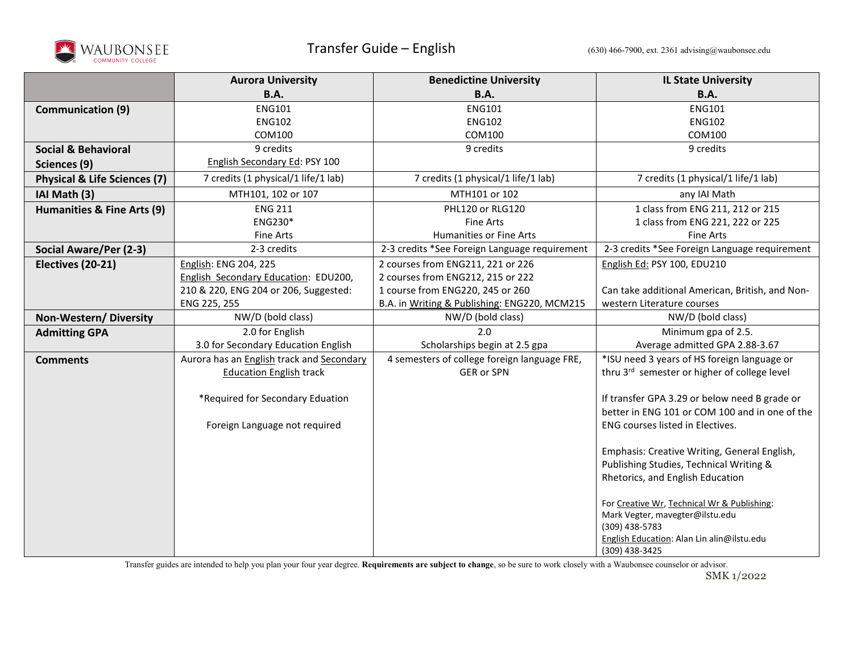

|                                         | <b>Aurora University</b>                  | <b>Benedictine University</b>                 | <b>IL State University</b>                                   |
|-----------------------------------------|-------------------------------------------|-----------------------------------------------|--------------------------------------------------------------|
|                                         | <b>B.A.</b>                               | <b>B.A.</b>                                   | <b>B.A.</b>                                                  |
| <b>Communication (9)</b>                | <b>ENG101</b>                             | <b>ENG101</b>                                 | <b>ENG101</b>                                                |
|                                         | <b>ENG102</b>                             | <b>ENG102</b>                                 | <b>ENG102</b>                                                |
|                                         | COM100                                    | COM100                                        | COM100                                                       |
| <b>Social &amp; Behavioral</b>          | 9 credits                                 | 9 credits                                     | 9 credits                                                    |
| Sciences (9)                            | English Secondary Ed: PSY 100             |                                               |                                                              |
| <b>Physical &amp; Life Sciences (7)</b> | 7 credits (1 physical/1 life/1 lab)       | 7 credits (1 physical/1 life/1 lab)           | 7 credits (1 physical/1 life/1 lab)                          |
| IAI Math (3)                            | MTH101, 102 or 107                        | MTH101 or 102                                 | any IAI Math                                                 |
| Humanities & Fine Arts (9)              | <b>ENG 211</b>                            | PHL120 or RLG120                              | 1 class from ENG 211, 212 or 215                             |
|                                         | ENG230*                                   | <b>Fine Arts</b>                              | 1 class from ENG 221, 222 or 225                             |
|                                         | Fine Arts                                 | Humanities or Fine Arts                       | <b>Fine Arts</b>                                             |
| Social Aware/Per (2-3)                  | 2-3 credits                               | 2-3 credits *See Foreign Language requirement | 2-3 credits *See Foreign Language requirement                |
| Electives (20-21)                       | English: ENG 204, 225                     | 2 courses from ENG211, 221 or 226             | English Ed: PSY 100, EDU210                                  |
|                                         | English Secondary Education: EDU200,      | 2 courses from ENG212, 215 or 222             |                                                              |
|                                         | 210 & 220, ENG 204 or 206, Suggested:     | 1 course from ENG220, 245 or 260              | Can take additional American, British, and Non-              |
|                                         | ENG 225, 255                              | B.A. in Writing & Publishing: ENG220, MCM215  | western Literature courses                                   |
| Non-Western/Diversity                   | NW/D (bold class)                         | NW/D (bold class)                             | NW/D (bold class)                                            |
| <b>Admitting GPA</b>                    | 2.0 for English                           | 2.0                                           | Minimum gpa of 2.5.                                          |
|                                         | 3.0 for Secondary Education English       | Scholarships begin at 2.5 gpa                 | Average admitted GPA 2.88-3.67                               |
| <b>Comments</b>                         | Aurora has an English track and Secondary | 4 semesters of college foreign language FRE,  | *ISU need 3 years of HS foreign language or                  |
|                                         | <b>Education English track</b>            | <b>GER or SPN</b>                             | thru 3rd semester or higher of college level                 |
|                                         | *Required for Secondary Eduation          |                                               | If transfer GPA 3.29 or below need B grade or                |
|                                         |                                           |                                               | better in ENG 101 or COM 100 and in one of the               |
|                                         | Foreign Language not required             |                                               | ENG courses listed in Electives.                             |
|                                         |                                           |                                               |                                                              |
|                                         |                                           |                                               | Emphasis: Creative Writing, General English,                 |
|                                         |                                           |                                               | Publishing Studies, Technical Writing &                      |
|                                         |                                           |                                               | Rhetorics, and English Education                             |
|                                         |                                           |                                               |                                                              |
|                                         |                                           |                                               | For Creative Wr, Technical Wr & Publishing:                  |
|                                         |                                           |                                               | Mark Vegter, mavegter@ilstu.edu                              |
|                                         |                                           |                                               | (309) 438-5783<br>English Education: Alan Lin alin@ilstu.edu |
|                                         |                                           |                                               | (309) 438-3425                                               |

Transfer guides are intended to help you plan your four year degree. **Requirements are subject to change**, so be sure to work closely with a Waubonsee counselor or advisor.